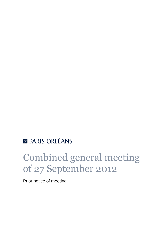## **E PARIS ORLÉANS**

# Combined general meeting of 27 September 2012

Prior notice of meeting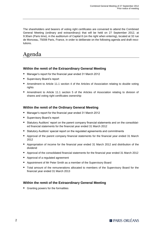The shareholders and bearers of voting right certificates are convened to attend the Combined General Meeting (ordinary and extraordinary) that will be held on 27 September 2012, at 9:30am (Paris time), in the auditorium of Capital 8 (on the right when entering), located at 32 rue de Monceau, 75008 Paris, France, in order to deliberate on the following agenda and draft resolutions.

## Agenda

#### **Within the remit of the Extraordinary General Meeting**

- Manager's report for the financial year ended 31 March 2012
- Supervisory Board's report
- Amendment to Article 11.1 section 4 of the Articles of Association relating to double voting rights
- Amendment to Article 11.1 section 5 of the Articles of Association relating to division of shares and voting right certificates ownership

#### **Within the remit of the Ordinary General Meeting**

- Manager's report for the financial year ended 31 March 2012
- Supervisory Board's report
- **Statutory Auditors' report on the parent company financial statements and on the consolidat**ed financial statements for the financial year ended 31 March 2012
- **Statutory Auditors' special report on the regulated agreements and commitments**
- Approval of the parent company financial statements for the financial year ended 31 March 2012
- Appropriation of income for the financial year ended 31 March 2012 and distribution of the dividend
- Approval of the consolidated financial statements for the financial year ended 31 March 2012
- Approval of a regulated agreement
- Appointment of Mr Peter Smith as a member of the Supervisory Board
- Total amount of the remunerations allocated to members of the Supervisory Board for the financial year ended 31 March 2013

#### **Within the remit of the Extraordinary General Meeting**

**Granting powers for the formalities**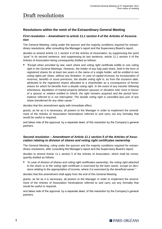## Draft resolutions

#### **Resolutions within the remit of the Extraordinary General Meeting**

#### *First resolution – Amendment to article 11.1 section 4 of the Articles of Association*

The General Meeting, ruling under the quorum and the majority conditions required for extraordinary resolutions, after consulting the Manager's report and the Supervisory Board's report,

decides to amend Article 11.1 section 4 of the Articles of Association, by suppressing the word *"pure"* in its second sentence, and suppressing its last sentence, article 11.1 section 4 of the Articles of Association being consequently drafted as follows:

 *"Except when provided by law, each share and voting right certificate entitle to one voting*  right in the General Meetings. However, the holder of any fully paid share, held in the form of *registered shares for at least two years in the name of a single holder, will be entitled to two voting rights per share, without any limitation. In case of capital increase, by incorporation of reserves, benefits or issue premiums, the double voting right is, as from the issuance date, attributed to the registered shares allocated to a shareholder as a consequence of former shares for which he benefits from a double voting right. In the event of any transfer following inheritance, liquidation of marital property between spouses or donation inter vivos in favour of a spouse or relative entitled to inherit, the right remains acquired and the period hereinabove referred to is not interrupted. The double voting right is cancelled ipso jure of any share transferred for any other cause."*

decides that this amendment apply with immediate effect,

grants, as far as it is necessary, all powers to the Manager in order to implement the amendment of the Articles of Association hereinabove referred to and carry out any formality that would be useful or required,

and takes note of the approval, by a separate deed, of this resolution by the Company's general partners.

#### *Second resolution – Amendment of Article 11.1 section 5 of the Articles of Association relating to division of shares and voting right certificates ownership*

The General Meeting, ruling under the quorum and the majority conditions required for extraordinary resolutions, after consulting the Manager's report and the Supervisory Board's report,

decides to amend Article 11.1 section 5 of the Articles of Association, which shall be consequently drafted as follows:

 *"In case of division of shares and voting right certificates ownership, the voting right attached to the share or to the voting right certificate is exercised by the bare owner, except on decisions relating to the appropriation of income, where it is exercised by the beneficial owner."*

decides that this amendment shall apply from the end of this General Meeting,

grants, as far as it is necessary, all powers to the Manager in order to implement the amendment of the Articles of Association hereinabove referred to and carry out any formality that would be useful or required,

and takes note of the approval, by a separate deed, of this resolution by the Company's general partners.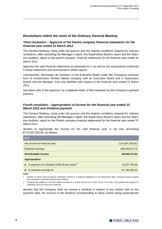#### **Resolutions within the remit of the Ordinary General Meeting**

#### *Third resolution – Approval of the Parent company financial statements for the financial year ended 31 March 2012*

The General Meeting, ruling under the quorum and the majority conditions required for ordinary resolutions, after consulting the Manager's report, the Supervisory Board's report and the Statutory Auditors' report on the parent company financial statements for the financial year ended 31 March 2012,

approves the said financial statements as presented to it, as well as the transactions evidenced in these statements and summarised in these reports,

consequently, discharges all members of the Executive Board under the Company's previous form of incorporation (limited liability company with an Executive Board and a Supervisory Board) and the Manager, from any liabilities with respect to the financial year ended 31 March 2012,

and takes note of the approval, by a separate deed, of this resolution by the Company's general partners.

#### *Fourth resolution – Appropriation of income for the financial year ended 31 March 2012 and dividend payment*

The General Meeting, ruling under the quorum and the majority conditions required for ordinary resolutions, after consulting the Manager's report, the Supervisory Board's report and the Statutory Auditors' report on the Parent company financial statements for the financial year ended 31 March 2012,

decides to appropriate the income for the said financial year, a net loss amounting €114,297,250.92, as follows:

| In $\epsilon$                                                       |                    |  |
|---------------------------------------------------------------------|--------------------|--|
| Net income for financial year                                       | (114, 297, 250.92) |  |
| Retained earnings                                                   | 198, 345, 972. 76  |  |
| Distributable income                                                | 84,048,721.84      |  |
| <b>Appropriation</b>                                                |                    |  |
| to payment of a dividend of $\epsilon$ 0.50 per share <sup>12</sup> | 16,257,793.50      |  |
| to retained earnings for                                            | 67,790,928.34      |  |

**Notes**

1. Number of shares and investment certificates entitled to a dividend registered on the detachment date, excluding treasury shares and investment certificates held by Paris Orléans.

2. Dividend fully eligible for the 40% rebate provided for in Article 158 (3) (2°) of the French Tax Code (*Code général des impôts*) for individuals who are French tax residents.

decides that the Company shall not receive a dividend in respect of any shares held on the payment date, the amount of the dividend corresponding to these shares being automatically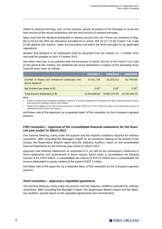added to retained earnings, and, to this purpose, grants all powers to the Manager to revise the final amount of the actual distribution and the final amount of retained earnings,

takes note that the dividend distributed to natural persons who are French tax residents is eligible in full for the 40% tax allowance provided for in article 158 (3) (2°) of the French Tax Code (*Code général des impôts*), under the provisions and within the limits provided for by applicable regulations,

decides that dividend to be distributed shall be detached from the shares on 1 October 2012 and shall be payable as from 4 October 2012,

and takes note that, in accordance with the provisions of article 243 bis of the French Tax Code (*Code général des impôts*), the dividends per share distributed in respect of the preceding three financial years were as follows:

|                                                                                     | $\overline{12010}$ /2011 $^\dagger$ | 2009/2010     | 2008/2009     |
|-------------------------------------------------------------------------------------|-------------------------------------|---------------|---------------|
| Number of shares and investment certificates enti-<br>tled to dividend <sup>1</sup> | 31,611,745                          | 31,020,213    | 30,748,400    |
| Net dividend per share (in $\epsilon$ )                                             | $0.40^{2}$                          | $0.35^{2}$    | $0.35^{2}$    |
| Total amount distributed (in $\epsilon$ )                                           | 12,644,698.00                       | 10,857,074.55 | 10.761.940.00 |

**Notes**

3. Number of shares and investment certificates entitled to a dividend registered on the detachment date, excluding treasury shares and investment certificates held by Paris Orléans.

4. Dividend fully eligible for the 40% rebate provided for in Article 158 (3) (2°) of the French Tax Code (*Code général des impôts*) for individuals who are French tax residents.

and takes note of the approval, by a separate deed, of this resolution by the Company's general partners.

#### *Fifth resolution – Approval of the consolidated financial statements for the financial year ended 31 March 2012*

The General Meeting, ruling under the quorum and the majority conditions required for ordinary resolutions, after consulting the Manager's report (in its provisions relating to the activity of the Group), the Supervisory Board's report and the Statutory Auditors' report on the consolidated financial statements for the financial year ended 31 March 2012,

approves said financial statements as presented to it, as well as the transactions evidenced in these statements and summarized in these reports, which show a consolidated net banking income of €1,139.9 million, a consolidated net income of €141.5 million and a consolidated net income attributable to equity holders of the parent of €37.2 million,

and takes note of the approval, by a separate deed, of this resolution by the Company's general partners.

#### *Sixth resolution – Approval a regulated agreement*

The General Meeting, ruling under the quorum and the majority conditions provided for ordinary resolutions, after consulting the Manager's report, the Supervisory Board's report and the Statutory Auditors' special report on the regulated agreements and commitments,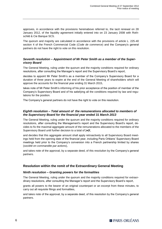approves, in accordance with the provisions hereinabove referred to, the tacit renewal on 28 January 2012, of the liquidity agreement initially entered into on 23 January 2008 with Rothschild & Cie Banque SCS.

The quorum and majority are calculated in accordance with the provisions of article L. 225-40 section 4 of the French Commercial Code (*Code de commerce*) and the Company's general partners do not have the right to vote on this resolution.

#### *Seventh resolution – Appointment of Mr Peter Smith as a member of the Supervisory Board*

The General Meeting, ruling under the quorum and the majority conditions required for ordinary resolutions, after consulting the Manager's report and the Supervisory Board's report,

decides to appoint Mr Peter Smith's as a member of the Company's Supervisory Board for a duration of three years to expire at the end of the General Meeting of shareholders which will approve the accounts for the financial year ending 31 March 2015,

takes note of Mr Peter Smith's informing of his prior acceptance of the position of member of the Company's Supervisory Board and of his satisfying all the conditions required by law and regulations for the position.

The Company's general partners do not have the right to vote on this resolution.

#### *Eighth resolution – Total amount of the remunerations allocated to members of the Supervisory Board for the financial year ended 31 March 2013*

The General Meeting, ruling under the quorum and the majority conditions required for ordinary resolutions, after consulting the Management's report and the Supervisory Board's report, decides to fix the maximal aggregate amount of the remunerations allocated to the members of the Supervisory Board until further decision to a total of [**●**]€,

and decides that this aggregate amount shall apply retroactively to all Supervisory Board meetings held from the opening date of the financial year, including Paris Orléans' Supervisory Board meetings held prior to the Company's conversion into a French partnership limited by shares (*société en commandite par actions*),

and takes note of the approval, by a separate deed, of this resolution by the Company's general partners.

#### **Resolution within the remit of the Extraordinary General Meeting**

#### *Ninth resolution – Granting powers for the formalities*

The General Meeting, ruling under the quorum and the majority conditions required for extraordinary resolutions, after consulting the Manager's report and the Supervisory Board's report,

grants all powers to the bearer of an original counterpart or an excerpt from these minutes, to carry out all requisite filings and formalities,

and takes note of the approval, by a separate deed, of this resolution by the Company's general partners.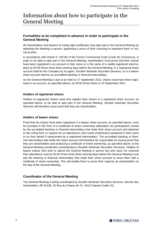## Information about how to participate in the General Meeting

#### **Formalities to be completed in advance in order to participate in the General Meeting**

All shareholders and bearers of voting right certificates may take part in the General Meeting by attending the Meeting in person, appointing a proxy of their choosing to represent them or voting by post.

In accordance with Article R. 225-85 of the French Commercial Code (*Code de Commerce*), in order to be able to take part in the General Meeting, shareholders must prove that their shares have been registered in an account in their name or in the name of a validly registered intermediary by 00:00 (Paris time) three working days before the General Meeting, in a registered share account held for the Company by its agent, Société Générale Securities Services, or in a bearer share account held by an accredited banking or financial intermediary.

As the General Meeting is due to be held on 27 September 2012, shares must have been registered in an account, as specified above, by 00:00 (Paris time) on 24 September 2012.

#### *Holders of registered shares*

Holders of registered shares need only register their shares in a registered share account, as specified above, to be able to take part in the General Meeting. Société Générale Securities Services will therefore issue proof that they are shareholders.

#### *Holders of bearer shares*

Proof that the shares have been registered in a bearer share account, as specified above, must be provided in the form of a certificate of share ownership (*attestation de participation*) issued by the accredited banking or financial intermediary that holds their share account and attached to the voting form or request for an attendance card (*carte d'admission*) prepared in their name or on their behalf if represented by a registered intermediary. The accredited banking or financial intermediary that holds the share account will therefore be responsible for issuing proof that they are shareholders and producing a certificate of share ownership, as specified above, to the General Meeting coordinator (*centralisateur*) (Société Générale Securities Services). Holders of bearer shares who wish to attend the General Meeting in person but who have not received their attendance card by 00:00 (Paris time) three working days before the General Meeting must ask the banking or financial intermediary that holds their share account to issue them with a certificate of share ownership. This will enable them to prove their capacity as shareholders on the day of the General Meeting.

#### **Coordinator of the General Meeting**

The General Meeting is being coordinated by Société Générale Securities Services, Service des Assemblées, BP 81236, 32 Rue du Champ de Tir, 44312 Nantes Cedex 03.

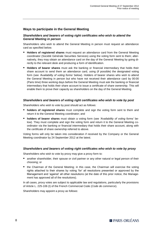#### **Ways to participate in the General Meeting**

#### *Shareholders and bearers of voting right certificates who wish to attend the General Meeting in person*

Shareholders who wish to attend the General Meeting in person must request an attendance card as specified below.

- **H** Holders of registered shares must request an attendance card from the General Meeting coordinator (Société Générale Securities Services) using the voting form sent to them; alternatively, they may obtain an attendance card on the day of the General Meeting by going directly to the relevant desk and producing a form of identification.
- **Holders of bearer shares** must ask the banking or financial intermediary that holds their share account to send them an attendance card, using (if possible) the designated voting form (see *'Availability of voting forms'* below). Holders of bearer shares who wish to attend the General Meeting in person but who have not received their attendance card by 00:00 (Paris time) three working days before the General Meeting must ask the banking or financial intermediary that holds their share account to issue a certificate of share ownership. This will enable them to prove their capacity as shareholders on the day of the General Meeting.

#### *Shareholders and bearers of voting right certificates who wish to vote by post*

Shareholders who wish to vote by post should act as follows:

- **holders of registered shares** must complete and sign the voting form sent to them and return it to the General Meeting coordinator; and
- **holders of bearer shares** must obtain a voting form (see *'Availability of voting forms'* below). They must complete and sign the voting form and return it to the General Meeting coordinator via the banking or financial intermediary that holds their share account, along with the certificate of share ownership referred to above.

Voting forms will only be taken into consideration if received by the Company or the General Meeting coordinator by 24 September 2012 at the latest.

#### *Shareholders and bearers of voting right certificates who wish to vote by proxy*

Shareholders who wish to vote by proxy may give a proxy form to:

- **E** another shareholder, their spouse or civil partner or any other natural or legal person of their choosing; or
- the Chairman of the General Meeting; in this case, the Chairman will exercise the voting rights attached to their shares by voting 'for' all resolutions presented or approved by the Management and 'against' all other resolutions (at the date of this prior notice, the Management has approved all of the resolutions).

In all cases, proxy votes are subject to applicable law and regulations, particularly the provisions of Article L. 225-106 (I) of the French Commercial Code (*Code de commerce*).

Shareholders may appoint a proxy as follows: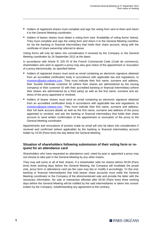- **h** holders of registered shares must complete and sign the voting form sent to them and return it to the General Meeting coordinator;
- holders of bearer shares must obtain a voting form (see *'Availability of voting forms'* below). They must complete and sign the voting form and return it to the General Meeting coordinator via the banking or financial intermediary that holds their share account, along with the certificate of share ownership referred to above.

Voting forms will only be taken into consideration if received by the Company or the General Meeting coordinator by 24 September 2012 at the latest.

In accordance with Article R. 225-79 of the French Commercial Code (*Code de commerce*), shareholders who wish to appoint a proxy may also give notice of the appointment or revocation of a proxy electronically, as specified below:

- **holders of registered shares must send an email containing an electronic signature obtained** from an accredited certification body in accordance with applicable law and regulations, to [investors@paris-orleans.com.](mailto:investors@paris-orleans.com) They must indicate their first name, surname and address, their Société Générale customer ID (where their shares are administered by the issuing company) or their customer ID with their accredited banking or financial intermediary (where their shares are administered by a third party) as well as the first name, surname and address of the proxy appointed or revoked;
- **holders of bearer shares must send an email containing an electronic signature obtained** from an accredited certification body in accordance with applicable law and regulations, to [investors@paris-orleans.com.](mailto:investors@paris-orleans.com) They must indicate their first name, surname and address, their full bank account details as well as the first name, surname and address of the proxy appointed or revoked, and ask the banking or financial intermediary that holds their share account to send written confirmation of the appointment or revocation of the proxy to the General Meeting coordinator.

Appointments and revocations of proxies made by email will only be taken into consideration if received and confirmed (where applicable) by the banking or financial intermediary account holder by 15:00 (Paris time) the day before the General Meeting.

#### **Situation of shareholders following submission of their voting form or request for an attendance card**

Shareholders who have requested an attendance card, voted by post or appointed a proxy may not choose to take part in the General Meeting by any other means.

They may sell some or all of their shares. If a shareholder sells his shares before 00:00 (Paris time) three working days before the General Meeting, the Company will invalidate the postal vote, proxy form or attendance card (as the case may be) or modify it accordingly. To this end, banking or financial intermediaries that hold bearer share accounts must notify the General Meeting coordinator or the Company of the aforementioned sale and provide the latter with the necessary information. No sale or transaction effected after 00:00 (Paris time) three working days before the General Meeting will be notified by the said intermediaries or taken into consideration by the Company, notwithstanding any agreement to the contrary.

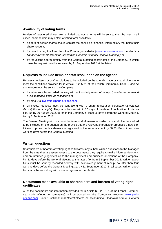#### **Availability of voting forms**

Holders of registered shares are reminded that voting forms will be sent to them by post. In all cases, shareholders may obtain a voting form as follows:

- **holders of bearer shares should contact the banking or financial intermediary that holds their** share account;
- **by downloading the form from the Company's website [\(www.paris-orleans.com,](http://www.paris-orleans.com/) under 'Ac***tionnaires'/'Shareholders'* or *'Assemblée Générale'/'Annual General Meeting'*); or
- **by requesting a form directly from the General Meeting coordinator or the Company, in which** case the request must be received by 21 September 2012 at the latest.

#### **Requests to include items or draft resolutions on the agenda**

Requests for items or draft resolutions to be included on the agenda made by shareholders who meet the conditions provided for in Article R. 225-71 of the French Commercial Code (*Code de commerce*) must be sent to the Company:

- by letter sent by recorded delivery with acknowledgement of receipt (*courrier recommandé avec demande d'avis de réception*); or
- by email, to [investors@paris-orleans.com.](mailto:investors@paris-orleans.com)

In all cases, requests must be sent along with a share registration certificate (*attestation d'inscription en compte*). They must be sent within 20 days of the date of publication of this notice, *i.e.* by 30 August 2012, to reach the Company at least 25 days before the General Meeting, *i.e.* by 2 September 2011.

The General Meeting will only consider items or draft resolutions which a shareholder has asked to be included on the agenda on the proviso that the relevant shareholder produces a new certificate to prove that his shares are registered in the same account by 00:00 (Paris time) three working days before the General Meeting.

#### **Written questions**

Shareholders or bearers of voting right certificates may submit written questions to the Manager from the date they are given access to the documents they require to make informed decisions and an informed judgement as to the management and business operations of the Company, *i.e.* 21 days before the General Meeting at the latest, *i.e.* from 6 September 2012. Written questions must be sent by recorded delivery with acknowledgement of receipt no later than four working days before the General Meeting, *i.e.* by 21 September 2012. In all cases, written questions must be sent along with a share registration certificate.

#### **Documents made available to shareholders and bearers of voting right certificates**

All of the documents and information provided for in Article R. 225-73-1 of the French Commercial Code (*Code de commerce*) will be posted on the Company's website [\(www.paris](http://www.paris-orleans.com/)[orleans.com,](http://www.paris-orleans.com/) under *'Actionnaires'/'Shareholders'* or *'Assemblée Générale'/'Annual General*